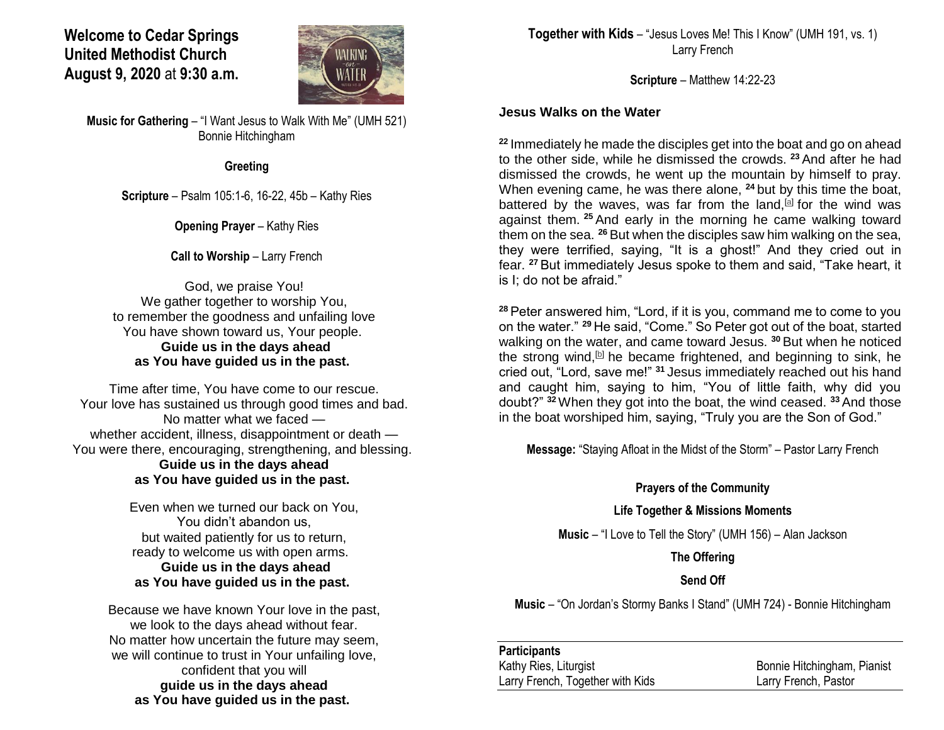# **Welcome to Cedar Springs United Methodist Church August 9, 2020** at **9:30 a.m.**



**Music for Gathering** – "I Want Jesus to Walk With Me" (UMH 521) Bonnie Hitchingham

#### **Greeting**

**Scripture** – Psalm 105:1-6, 16-22, 45b – Kathy Ries

**Opening Prayer** – Kathy Ries

### **Call to Worship – Larry French**

God, we praise You! We gather together to worship You, to remember the goodness and unfailing love You have shown toward us, Your people. **Guide us in the days ahead as You have guided us in the past.**

Time after time, You have come to our rescue. Your love has sustained us through good times and bad. No matter what we faced whether accident, illness, disappointment or death — You were there, encouraging, strengthening, and blessing. **Guide us in the days ahead as You have guided us in the past.**

> Even when we turned our back on You, You didn't abandon us, but waited patiently for us to return, ready to welcome us with open arms. **Guide us in the days ahead as You have guided us in the past.**

Because we have known Your love in the past, we look to the days ahead without fear. No matter how uncertain the future may seem, we will continue to trust in Your unfailing love, confident that you will **guide us in the days ahead as You have guided us in the past.**

**Together with Kids** – "Jesus Loves Me! This I Know" (UMH 191, vs. 1) Larry French

**Scripture** – Matthew 14:22-23

## **Jesus Walks on the Water**

**<sup>22</sup>** Immediately he made the disciples get into the boat and go on ahead to the other side, while he dismissed the crowds. **<sup>23</sup>** And after he had dismissed the crowds, he went up the mountain by himself to pray. When evening came, he was there alone, **<sup>24</sup>** but by this time the boat, battered by the waves, was far from the land, all for the wind was against them. **<sup>25</sup>** And early in the morning he came walking toward them on the sea. **<sup>26</sup>** But when the disciples saw him walking on the sea, they were terrified, saying, "It is a ghost!" And they cried out in fear. **<sup>27</sup>** But immediately Jesus spoke to them and said, "Take heart, it is I; do not be afraid."

**<sup>28</sup>** Peter answered him, "Lord, if it is you, command me to come to you on the water." **<sup>29</sup>** He said, "Come." So Peter got out of the boat, started walking on the water, and came toward Jesus. **<sup>30</sup>** But when he noticed the strong wind, $[$  $[$  $]$  he became frightened, and beginning to sink, he cried out, "Lord, save me!" **<sup>31</sup>** Jesus immediately reached out his hand and caught him, saying to him, "You of little faith, why did you doubt?" **<sup>32</sup>**When they got into the boat, the wind ceased. **<sup>33</sup>** And those in the boat worshiped him, saying, "Truly you are the Son of God."

**Message:** "Staying Afloat in the Midst of the Storm" – Pastor Larry French

### **Prayers of the Community**

### **Life Together & Missions Moments**

**Music** – "I Love to Tell the Story" (UMH 156) – Alan Jackson

**The Offering**

## **Send Off**

**Music** – "On Jordan's Stormy Banks I Stand" (UMH 724) - Bonnie Hitchingham

### **Participants**

Kathy Ries, Liturgist **Bonnie Hitchingham, Pianist** Bonnie Hitchingham, Pianist Larry French, Together with Kids Larry French, Pastor